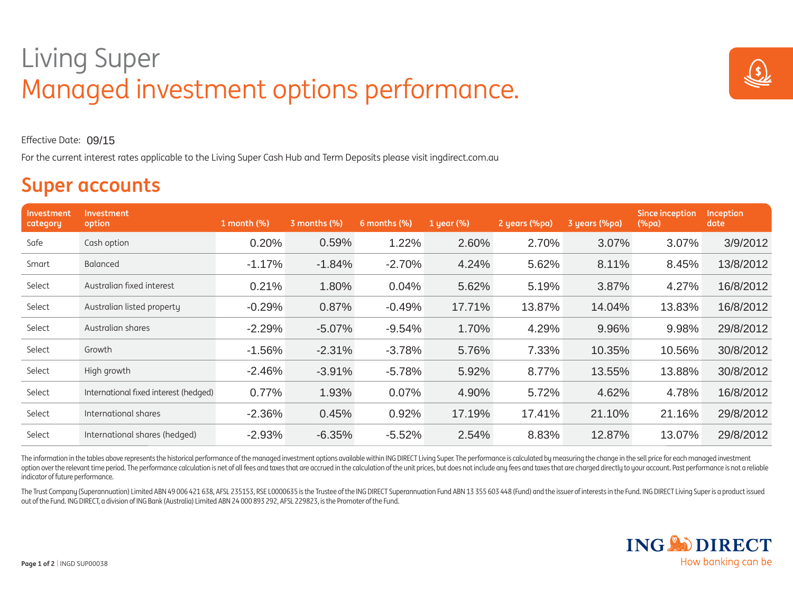## Living Super Living Super Managed investment options performance.



Effective Date:09/15

For the current interest rates applicable to the Living Super Cash Hub and Term Deposits please visit ingdirect.com.au

## **Super accounts**

| Investment<br>category | <b>Investment</b><br>option           | 1 month (%) | 3 months (%) | 6 months (%) | 1 year (%) | 2 years (%pa) | 3 years (%pa) | <b>Since inception</b><br>(%pa) | <b>Inception</b><br>date |
|------------------------|---------------------------------------|-------------|--------------|--------------|------------|---------------|---------------|---------------------------------|--------------------------|
| Safe                   | Cash option                           | 0.20%       | 0.59%        | 1.22%        | 2.60%      | 2.70%         | 3.07%         | 3.07%                           | 3/9/2012                 |
| Smart                  | Balanced                              | $-1.17%$    | $-1.84%$     | $-2.70%$     | 4.24%      | 5.62%         | 8.11%         | 8.45%                           | 13/8/2012                |
| Select                 | Australian fixed interest             | 0.21%       | 1.80%        | 0.04%        | 5.62%      | 5.19%         | 3.87%         | 4.27%                           | 16/8/2012                |
| Select                 | Australian listed property            | $-0.29%$    | 0.87%        | $-0.49%$     | 17.71%     | 13.87%        | 14.04%        | 13.83%                          | 16/8/2012                |
| Select                 | Australian shares                     | $-2.29%$    | $-5.07%$     | $-9.54%$     | 1.70%      | 4.29%         | 9.96%         | 9.98%                           | 29/8/2012                |
| Select                 | Growth                                | $-1.56%$    | $-2.31%$     | $-3.78%$     | 5.76%      | 7.33%         | 10.35%        | 10.56%                          | 30/8/2012                |
| Select                 | High growth                           | $-2.46%$    | $-3.91%$     | $-5.78%$     | 5.92%      | 8.77%         | 13.55%        | 13.88%                          | 30/8/2012                |
| Select                 | International fixed interest (hedged) | 0.77%       | 1.93%        | 0.07%        | 4.90%      | 5.72%         | 4.62%         | 4.78%                           | 16/8/2012                |
| Select                 | International shares                  | $-2.36%$    | 0.45%        | 0.92%        | 17.19%     | 17.41%        | 21.10%        | 21.16%                          | 29/8/2012                |
| Select                 | International shares (hedged)         | $-2.93%$    | $-6.35%$     | $-5.52%$     | 2.54%      | 8.83%         | 12.87%        | 13.07%                          | 29/8/2012                |

The information in the tables above represents the historical performance of the managed investment options available within ING DIRECT Living Super. The performance is calculated by measuring the change in the sell price option over the relevant time period. The performance calculation is net of all fees and taxes that are accrued in the calculation of the unit prices, but does not include any fees and taxes that are charged directly to yo indicator of future performance.

The Trust Company (Superannuation) Limited ABN 49 006 421 638, AFSL 235153, RSE L0000635 is the Trustee of the ING DIRECT Superannuation Fund ABN 13 355 603 448 (Fund) and the issuer of interests in the Fund. ING DIRECT Li out of the Fund. ING DIRECT, a division of ING Bank (Australia) Limited ABN 24 000 893 292, AFSL 229823, is the Promoter of the Fund.